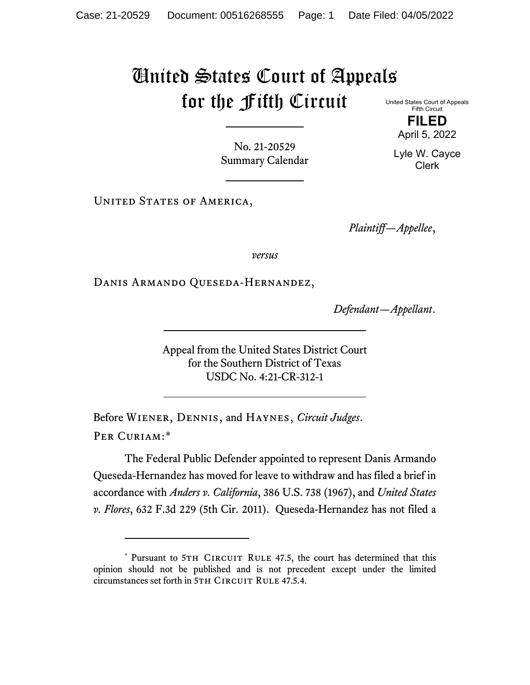## United States Court of Appeals for the Fifth Circuit

United States Court of Appeals Fifth Circuit **FILED**

April 5, 2022

No. 21-20529 Summary Calendar

UNITED STATES OF AMERICA,

*Plaintiff—Appellee*,

*versus*

Danis Armando Queseda-Hernandez,

*Defendant—Appellant*.

Appeal from the United States District Court for the Southern District of Texas USDC No. 4:21-CR-312-1

Before Wiener, Dennis, and Haynes, *Circuit Judges*. Per Curiam:[\\*](#page-0-0)

The Federal Public Defender appointed to represent Danis Armando Queseda-Hernandez has moved for leave to withdraw and has filed a brief in accordance with *Anders v. California*, 386 U.S. 738 (1967), and *United States v. Flores*, 632 F.3d 229 (5th Cir. 2011). Queseda-Hernandez has not filed a

Lyle W. Cayce Clerk

<span id="page-0-0"></span><sup>\*</sup> Pursuant to 5TH CIRCUIT RULE 47.5, the court has determined that this opinion should not be published and is not precedent except under the limited circumstances set forth in 5TH CIRCUIT RULE 47.5.4.